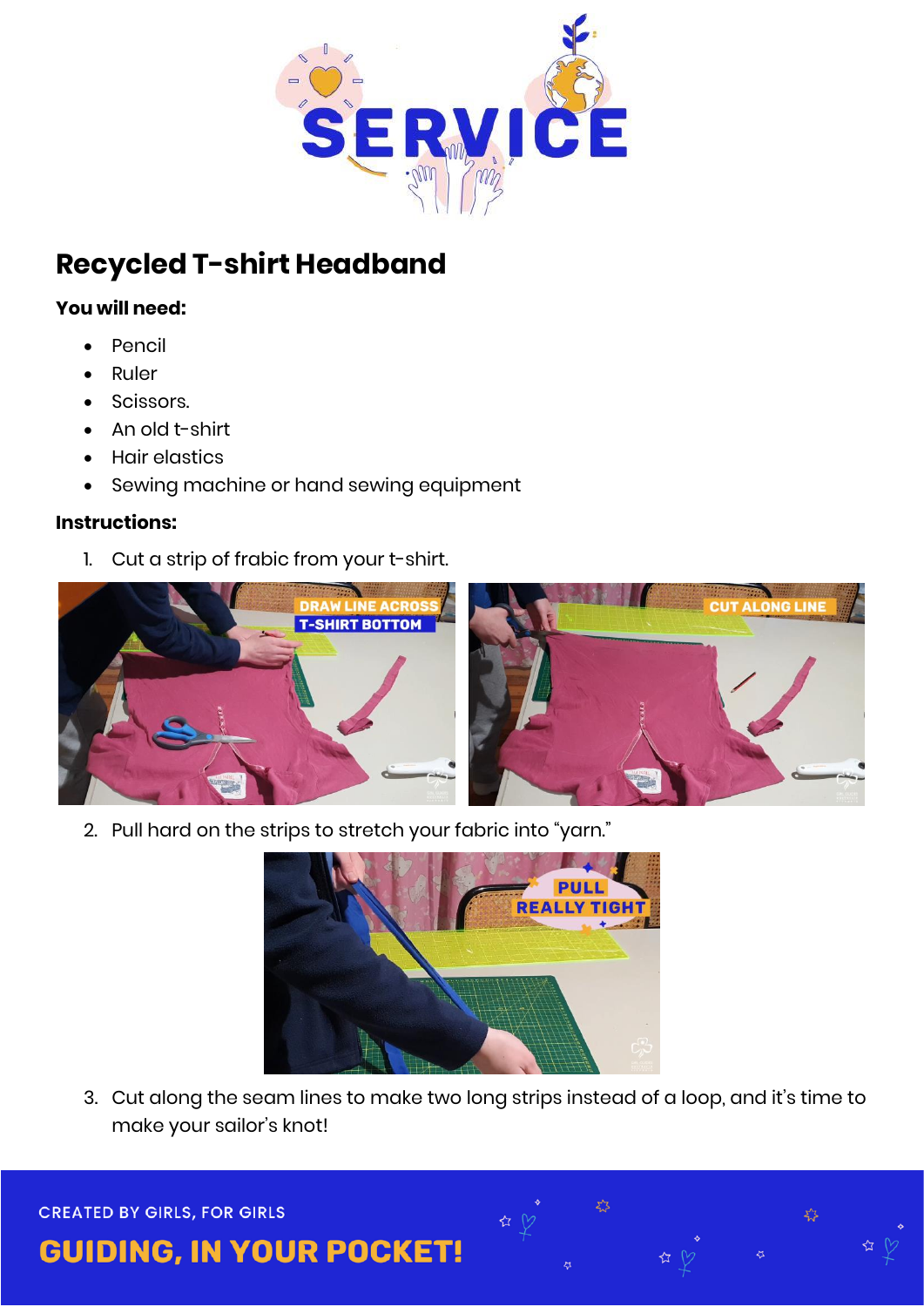

## **Recycled T-shirt Headband**

## **You will need:**

- Pencil
- Ruler
- Scissors.
- An old t-shirt
- Hair elastics
- Sewing machine or hand sewing equipment

## **Instructions:**

1. Cut a strip of frabic from your t-shirt.



2. Pull hard on the strips to stretch your fabric into "yarn."



3. Cut along the seam lines to make two long strips instead of a loop, and it's time to make your sailor's knot!

☆

☆

**CREATED BY GIRLS, FOR GIRLS** 

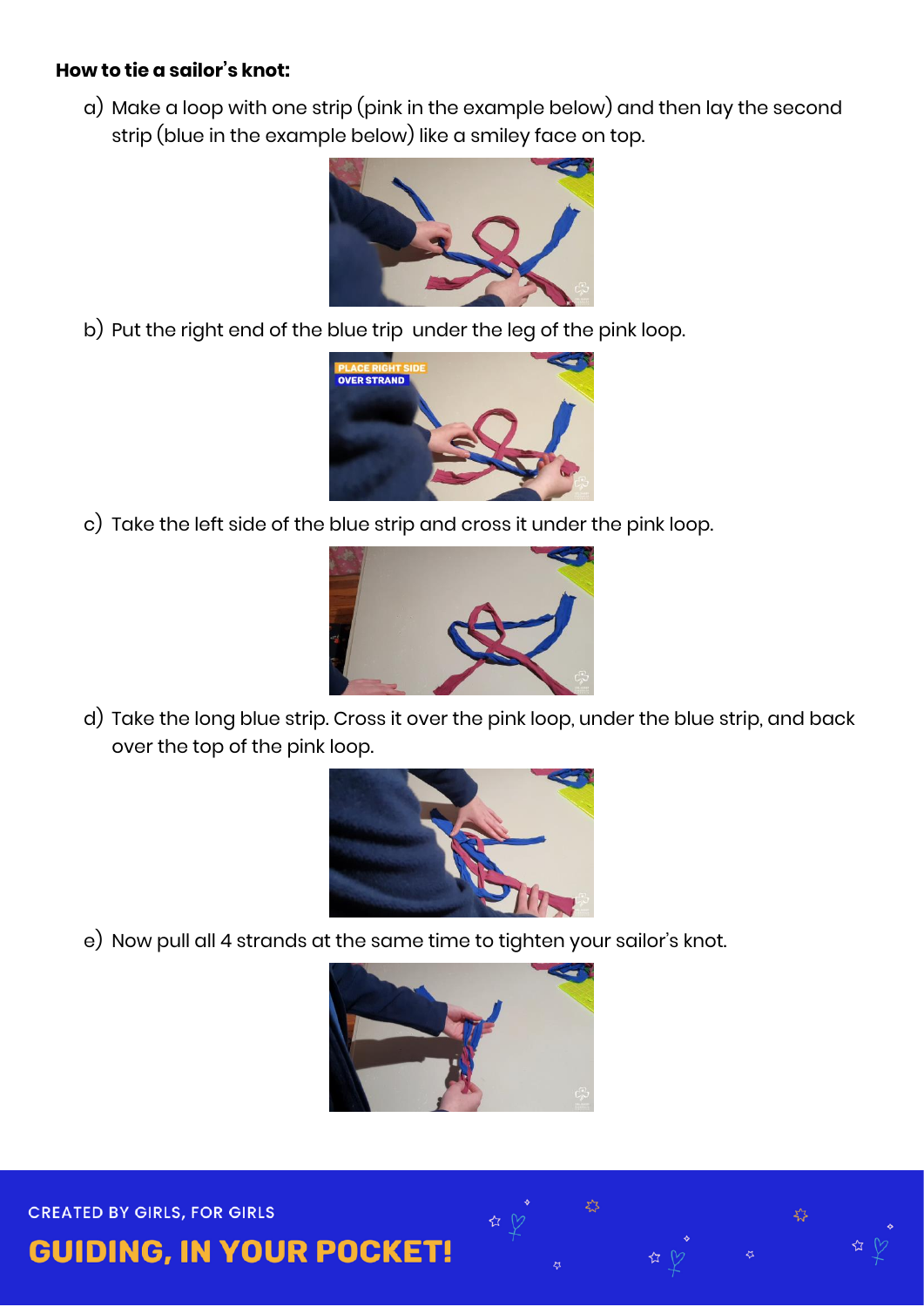## **How to tie a sailor's knot:**

a) Make a loop with one strip (pink in the example below) and then lay the second strip (blue in the example below) like a smiley face on top.



b) Put the right end of the blue trip under the leg of the pink loop.



c) Take the left side of the blue strip and cross it under the pink loop.



d) Take the long blue strip. Cross it over the pink loop, under the blue strip, and back over the top of the pink loop.



e) Now pull all 4 strands at the same time to tighten your sailor's knot.



**EXECUTED BY GIRLS, FOR GIRLS** The fit state the ends to the ends to the correct length to make it nice and neat